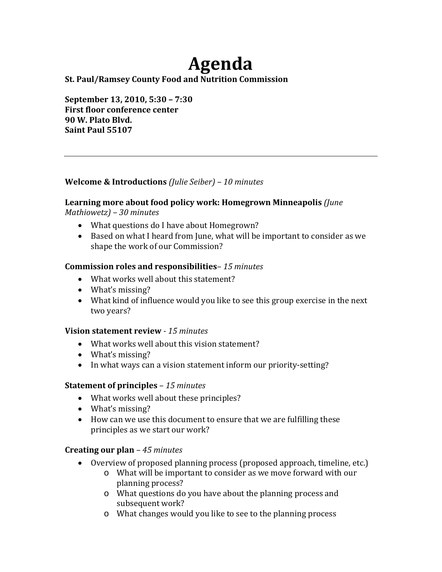# **Agenda**

## **St. Paul/Ramsey County Food and Nutrition Commission**

**September 13, 2010, 5:30 – 7:30 First floor conference center 90 W. Plato Blvd. Saint Paul 55107**

## **Welcome & Introductions** *(Julie Seiber) – 10 minutes*

# **Learning more about food policy work: Homegrown Minneapolis** *(June*

*Mathiowetz) – 30 minutes*

- What questions do I have about Homegrown?
- Based on what I heard from June, what will be important to consider as we shape the work of our Commission?

## **Commission roles and responsibilities***– 15 minutes*

- What works well about this statement?
- What's missing?
- What kind of influence would you like to see this group exercise in the next two years?

#### **Vision statement review**  *15 minutes*

- What works well about this vision statement?
- What's missing?
- In what ways can a vision statement inform our priority-setting?

# **Statement of principles** – *15 minutes*

- What works well about these principles?
- What's missing?
- How can we use this document to ensure that we are fulfilling these principles as we start our work?

# **Creating our plan** *– 45 minutes*

- Overview of proposed planning process (proposed approach, timeline, etc.)
	- o What will be important to consider as we move forward with our planning process?
	- o What questions do you have about the planning process and subsequent work?
	- o What changes would you like to see to the planning process